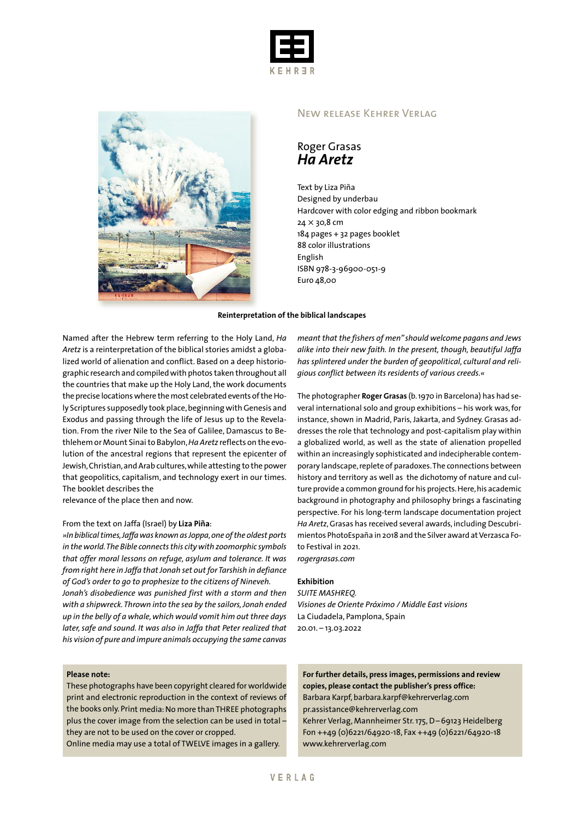



#### New release Kehrer Verlag

## Roger Grasas *Ha Aretz*

Text by Liza Piña Designed by underbau Hardcover with color edging and ribbon bookmark 24 × 30,8 cm 184 pages + 32 pages booklet 88 color illustrations English ISBN 978-3-96900-051-9 Euro 48,00

#### **Reinterpretation of the biblical landscapes**

Named after the Hebrew term referring to the Holy Land, *Ha Aretz* is a reinterpretation of the biblical stories amidst a globalized world of alienation and conflict. Based on a deep historiographic research and compiledwith photos taken throughout all the countries that make up the Holy Land, the work documents the precise locations where the most celebrated events of the Holy Scriptures supposedly took place, beginning with Genesis and Exodus and passing through the life of Jesus up to the Revelation. From the river Nile to the Sea of Galilee, Damascus to Bethlehem or Mount Sinaito Babylon,*Ha Aretz* reflects on the evolution of the ancestral regions that represent the epicenter of Jewish,Christian,andArab cultures,while attesting to the power that geopolitics, capitalism, and technology exert in our times. The booklet describes the

relevance of the place then and now.

#### From the text on Jaffa (Israel) by **Liza Piña**:

*»In biblicaltimes,Jaffawas known asJoppa,one ofthe oldest ports in theworld.The Bible connectsthis citywith zoomorphic symbols that offer moral lessons on refuge, asylum and tolerance. It was from right here in Jaffa that Jonah set out for Tarshish in defiance of God's order to go to prophesize to the citizens of Nineveh. Jonah's disobedience was punished first with a storm and then with a shipwreck.Thrown into the sea by the sailors,Jonah ended up in the belly of a whale,which would vomit him out three days later,safe and sound. It was also in Jaffa that Peter realized that his vision of pure and impure animals occupying the same canvas*

*meant that the fishers of men" should welcome pagans and Jews alike into their new faith. In the present, though, beautiful Jaffa has splintered under the burden of geopolitical, cultural and religious conflict between its residents of various creeds.«*

The photographer **Roger Grasas** (b.1970 in Barcelona) has had several international solo and group exhibitions – his work was,for instance, shown in Madrid, Paris, Jakarta, and Sydney. Grasas addresses the role that technology and post-capitalism play within a globalized world, as well as the state of alienation propelled within an increasingly sophisticated and indecipherable contemporary landscape, replete of paradoxes. The connections between history and territory as well as the dichotomy of nature and culture provide a common ground for his projects. Here, his academic background in photography and philosophy brings a fascinating perspective. For his long-term landscape documentation project *Ha Aretz*,Grasas has received several awards, including Descubrimientos PhotoEspaña in 2018 and the Silver award at Verzasca Foto Festival in 2021. *rogergrasas.com*

**Exhibition**

## *SUITE MASHREQ.*

*Visiones de Oriente Próximo / Middle East visions* La Ciudadela, Pamplona, Spain 20.01. – 13.03.2022

#### **Please note:**

These photographs have been copyright cleared for worldwide print and electronic reproduction in the context of reviews of the books only. Print media: No more than THREE photographs plus the cover image from the selection can be used in total – they are not to be used on the cover or cropped.

Online media may use <sup>a</sup> total of TWELVE images in <sup>a</sup> gallery.

**For further details, press images, permissions and review copies, please contact the publisher's press office:** Barbara Karpf, barbara.karpf@kehrerverlag.com pr.assistance@kehrerverlag.com Kehrer Verlag, Mannheimer Str.175,D–69123 Heidelberg Fon ++49 (0)6221/64920-18, Fax ++49 (0)6221/64920-18 www.kehrerverlag.com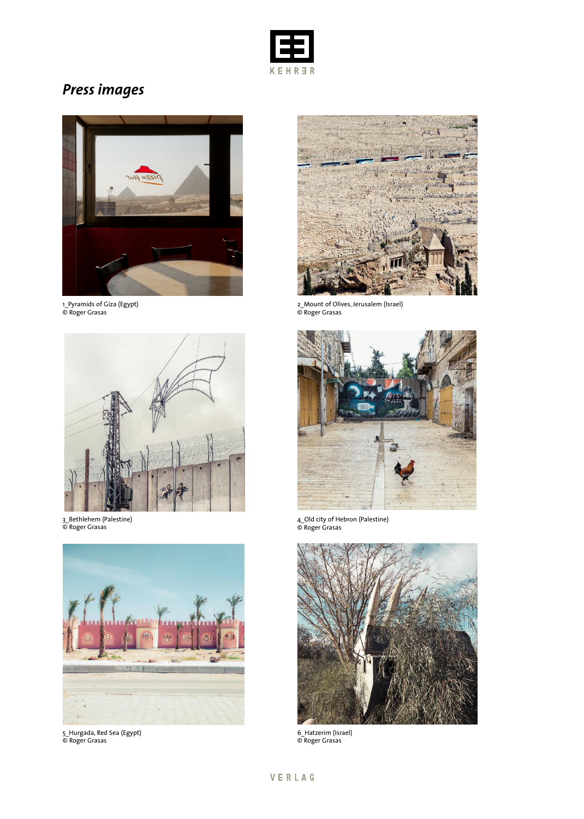

# *Press images*



1\_Pyramids of Giza (Egypt) © Roger Grasas



3\_Bethlehem (Palestine) © Roger Grasas



5\_Hurgada, Red Sea (Egypt) © Roger Grasas



2\_Mount of Olives, Jerusalem (Israel) © Roger Grasas



4\_Old city of Hebron (Palestine) © Roger Grasas



6\_Hatzerim (Israel) © Roger Grasas

## VERLAG